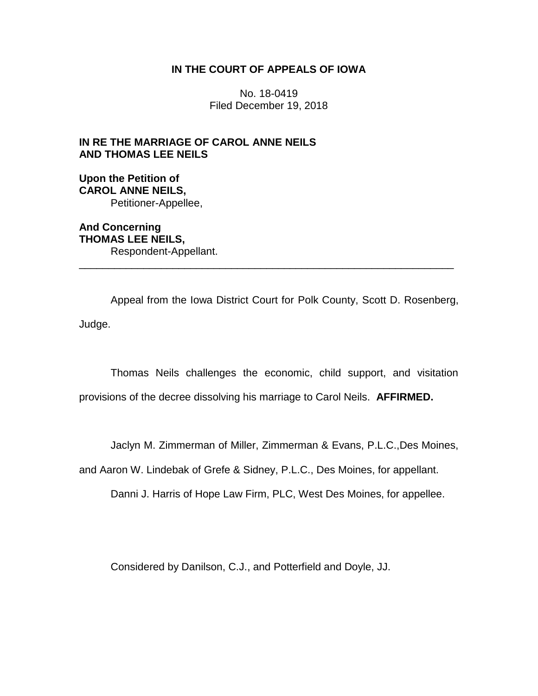# **IN THE COURT OF APPEALS OF IOWA**

No. 18-0419 Filed December 19, 2018

# **IN RE THE MARRIAGE OF CAROL ANNE NEILS AND THOMAS LEE NEILS**

**Upon the Petition of CAROL ANNE NEILS,** Petitioner-Appellee,

**And Concerning THOMAS LEE NEILS,** Respondent-Appellant.

Appeal from the Iowa District Court for Polk County, Scott D. Rosenberg, Judge.

\_\_\_\_\_\_\_\_\_\_\_\_\_\_\_\_\_\_\_\_\_\_\_\_\_\_\_\_\_\_\_\_\_\_\_\_\_\_\_\_\_\_\_\_\_\_\_\_\_\_\_\_\_\_\_\_\_\_\_\_\_\_\_\_

Thomas Neils challenges the economic, child support, and visitation provisions of the decree dissolving his marriage to Carol Neils. **AFFIRMED.**

Jaclyn M. Zimmerman of Miller, Zimmerman & Evans, P.L.C.,Des Moines,

and Aaron W. Lindebak of Grefe & Sidney, P.L.C., Des Moines, for appellant.

Danni J. Harris of Hope Law Firm, PLC, West Des Moines, for appellee.

Considered by Danilson, C.J., and Potterfield and Doyle, JJ.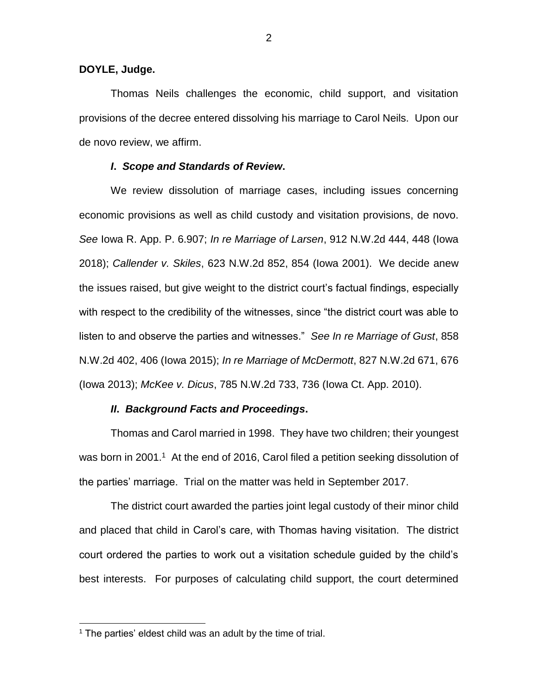## **DOYLE, Judge.**

Thomas Neils challenges the economic, child support, and visitation provisions of the decree entered dissolving his marriage to Carol Neils. Upon our de novo review, we affirm.

# *I***.** *Scope and Standards of Review***.**

We review dissolution of marriage cases, including issues concerning economic provisions as well as child custody and visitation provisions, de novo. *See* Iowa R. App. P. 6.907; *In re Marriage of Larsen*, 912 N.W.2d 444, 448 (Iowa 2018); *Callender v. Skiles*, 623 N.W.2d 852, 854 (Iowa 2001). We decide anew the issues raised, but give weight to the district court's factual findings, especially with respect to the credibility of the witnesses, since "the district court was able to listen to and observe the parties and witnesses." *See In re Marriage of Gust*, 858 N.W.2d 402, 406 (Iowa 2015); *In re Marriage of McDermott*, 827 N.W.2d 671, 676 (Iowa 2013); *McKee v. Dicus*, 785 N.W.2d 733, 736 (Iowa Ct. App. 2010).

# *II***.** *Background Facts and Proceedings***.**

Thomas and Carol married in 1998. They have two children; their youngest was born in 2001.<sup>1</sup> At the end of 2016, Carol filed a petition seeking dissolution of the parties' marriage. Trial on the matter was held in September 2017.

The district court awarded the parties joint legal custody of their minor child and placed that child in Carol's care, with Thomas having visitation. The district court ordered the parties to work out a visitation schedule guided by the child's best interests. For purposes of calculating child support, the court determined

 $\overline{a}$ 

 $1$  The parties' eldest child was an adult by the time of trial.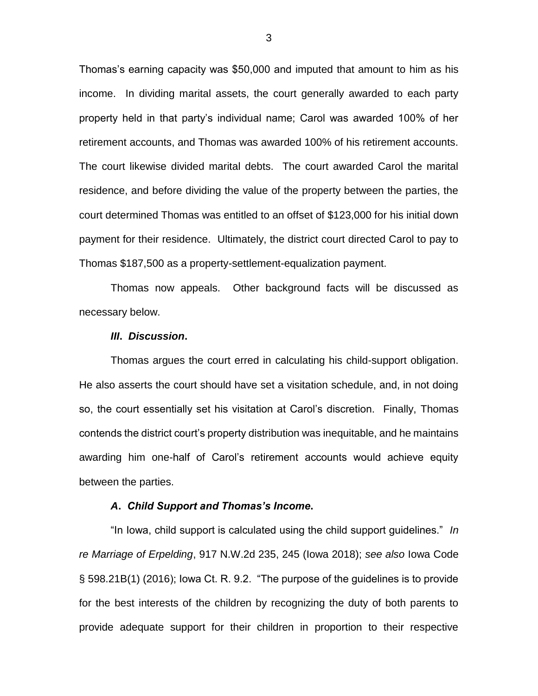Thomas's earning capacity was \$50,000 and imputed that amount to him as his income. In dividing marital assets, the court generally awarded to each party property held in that party's individual name; Carol was awarded 100% of her retirement accounts, and Thomas was awarded 100% of his retirement accounts. The court likewise divided marital debts. The court awarded Carol the marital residence, and before dividing the value of the property between the parties, the court determined Thomas was entitled to an offset of \$123,000 for his initial down payment for their residence. Ultimately, the district court directed Carol to pay to Thomas \$187,500 as a property-settlement-equalization payment.

Thomas now appeals. Other background facts will be discussed as necessary below.

#### *III***.** *Discussion***.**

Thomas argues the court erred in calculating his child-support obligation. He also asserts the court should have set a visitation schedule, and, in not doing so, the court essentially set his visitation at Carol's discretion. Finally, Thomas contends the district court's property distribution was inequitable, and he maintains awarding him one-half of Carol's retirement accounts would achieve equity between the parties.

#### *A***.** *Child Support and Thomas's Income***.**

"In Iowa, child support is calculated using the child support guidelines." *In re Marriage of Erpelding*, 917 N.W.2d 235, 245 (Iowa 2018); *see also* Iowa Code § 598.21B(1) (2016); Iowa Ct. R. 9.2. "The purpose of the guidelines is to provide for the best interests of the children by recognizing the duty of both parents to provide adequate support for their children in proportion to their respective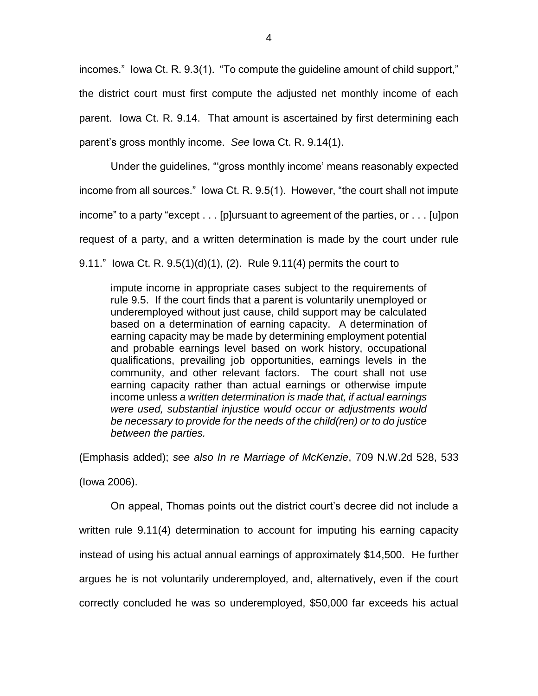incomes." Iowa Ct. R. 9.3(1). "To compute the guideline amount of child support," the district court must first compute the adjusted net monthly income of each parent. Iowa Ct. R. 9.14. That amount is ascertained by first determining each parent's gross monthly income. *See* Iowa Ct. R. 9.14(1).

Under the guidelines, "'gross monthly income' means reasonably expected income from all sources." Iowa Ct. R. 9.5(1). However, "the court shall not impute income" to a party "except . . . [p]ursuant to agreement of the parties, or . . . [u]pon request of a party, and a written determination is made by the court under rule 9.11." Iowa Ct. R. 9.5(1)(d)(1), (2). Rule 9.11(4) permits the court to

impute income in appropriate cases subject to the requirements of rule 9.5. If the court finds that a parent is voluntarily unemployed or underemployed without just cause, child support may be calculated based on a determination of earning capacity. A determination of earning capacity may be made by determining employment potential and probable earnings level based on work history, occupational qualifications, prevailing job opportunities, earnings levels in the community, and other relevant factors. The court shall not use earning capacity rather than actual earnings or otherwise impute income unless *a written determination is made that, if actual earnings were used, substantial injustice would occur or adjustments would be necessary to provide for the needs of the child(ren) or to do justice between the parties.*

(Emphasis added); *see also In re Marriage of McKenzie*, 709 N.W.2d 528, 533

(Iowa 2006).

On appeal, Thomas points out the district court's decree did not include a written rule 9.11(4) determination to account for imputing his earning capacity instead of using his actual annual earnings of approximately \$14,500. He further argues he is not voluntarily underemployed, and, alternatively, even if the court correctly concluded he was so underemployed, \$50,000 far exceeds his actual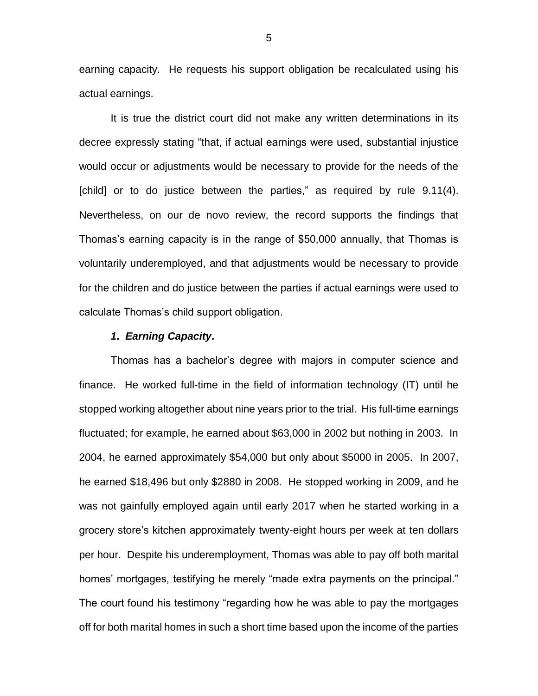earning capacity. He requests his support obligation be recalculated using his actual earnings.

It is true the district court did not make any written determinations in its decree expressly stating "that, if actual earnings were used, substantial injustice would occur or adjustments would be necessary to provide for the needs of the [child] or to do justice between the parties," as required by rule 9.11(4). Nevertheless, on our de novo review, the record supports the findings that Thomas's earning capacity is in the range of \$50,000 annually, that Thomas is voluntarily underemployed, and that adjustments would be necessary to provide for the children and do justice between the parties if actual earnings were used to calculate Thomas's child support obligation.

#### *1***.** *Earning Capacity***.**

Thomas has a bachelor's degree with majors in computer science and finance. He worked full-time in the field of information technology (IT) until he stopped working altogether about nine years prior to the trial. His full-time earnings fluctuated; for example, he earned about \$63,000 in 2002 but nothing in 2003. In 2004, he earned approximately \$54,000 but only about \$5000 in 2005. In 2007, he earned \$18,496 but only \$2880 in 2008. He stopped working in 2009, and he was not gainfully employed again until early 2017 when he started working in a grocery store's kitchen approximately twenty-eight hours per week at ten dollars per hour. Despite his underemployment, Thomas was able to pay off both marital homes' mortgages, testifying he merely "made extra payments on the principal." The court found his testimony "regarding how he was able to pay the mortgages off for both marital homes in such a short time based upon the income of the parties

5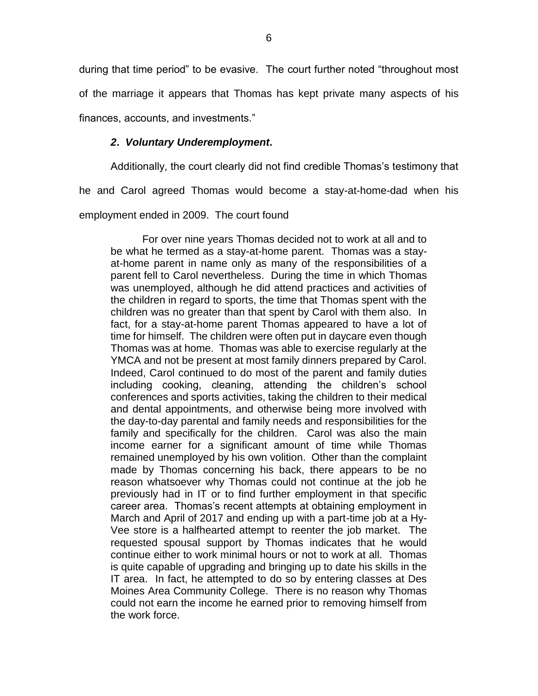during that time period" to be evasive. The court further noted "throughout most of the marriage it appears that Thomas has kept private many aspects of his finances, accounts, and investments."

# *2***.** *Voluntary Underemployment***.**

Additionally, the court clearly did not find credible Thomas's testimony that

he and Carol agreed Thomas would become a stay-at-home-dad when his

employment ended in 2009. The court found

For over nine years Thomas decided not to work at all and to be what he termed as a stay-at-home parent. Thomas was a stayat-home parent in name only as many of the responsibilities of a parent fell to Carol nevertheless. During the time in which Thomas was unemployed, although he did attend practices and activities of the children in regard to sports, the time that Thomas spent with the children was no greater than that spent by Carol with them also. In fact, for a stay-at-home parent Thomas appeared to have a lot of time for himself. The children were often put in daycare even though Thomas was at home. Thomas was able to exercise regularly at the YMCA and not be present at most family dinners prepared by Carol. Indeed, Carol continued to do most of the parent and family duties including cooking, cleaning, attending the children's school conferences and sports activities, taking the children to their medical and dental appointments, and otherwise being more involved with the day-to-day parental and family needs and responsibilities for the family and specifically for the children. Carol was also the main income earner for a significant amount of time while Thomas remained unemployed by his own volition. Other than the complaint made by Thomas concerning his back, there appears to be no reason whatsoever why Thomas could not continue at the job he previously had in IT or to find further employment in that specific career area. Thomas's recent attempts at obtaining employment in March and April of 2017 and ending up with a part-time job at a Hy-Vee store is a halfhearted attempt to reenter the job market. The requested spousal support by Thomas indicates that he would continue either to work minimal hours or not to work at all. Thomas is quite capable of upgrading and bringing up to date his skills in the IT area. In fact, he attempted to do so by entering classes at Des Moines Area Community College. There is no reason why Thomas could not earn the income he earned prior to removing himself from the work force.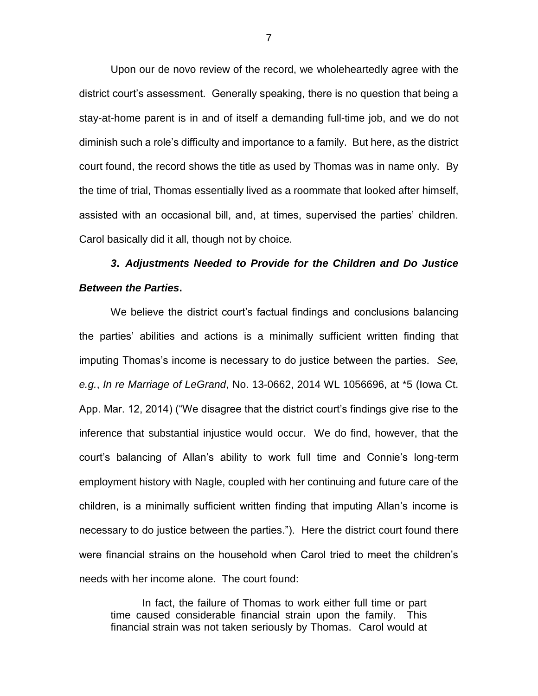Upon our de novo review of the record, we wholeheartedly agree with the district court's assessment. Generally speaking, there is no question that being a stay-at-home parent is in and of itself a demanding full-time job, and we do not diminish such a role's difficulty and importance to a family. But here, as the district court found, the record shows the title as used by Thomas was in name only. By the time of trial, Thomas essentially lived as a roommate that looked after himself, assisted with an occasional bill, and, at times, supervised the parties' children. Carol basically did it all, though not by choice.

# *3***.** *Adjustments Needed to Provide for the Children and Do Justice Between the Parties***.**

We believe the district court's factual findings and conclusions balancing the parties' abilities and actions is a minimally sufficient written finding that imputing Thomas's income is necessary to do justice between the parties. *See, e.g.*, *In re Marriage of LeGrand*, No. 13-0662, 2014 WL 1056696, at \*5 (Iowa Ct. App. Mar. 12, 2014) ("We disagree that the district court's findings give rise to the inference that substantial injustice would occur. We do find, however, that the court's balancing of Allan's ability to work full time and Connie's long-term employment history with Nagle, coupled with her continuing and future care of the children, is a minimally sufficient written finding that imputing Allan's income is necessary to do justice between the parties."). Here the district court found there were financial strains on the household when Carol tried to meet the children's needs with her income alone. The court found:

In fact, the failure of Thomas to work either full time or part time caused considerable financial strain upon the family. This financial strain was not taken seriously by Thomas. Carol would at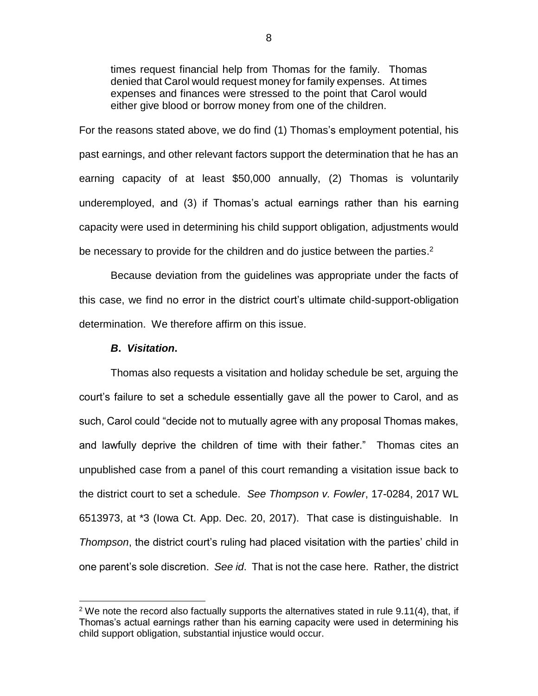times request financial help from Thomas for the family. Thomas denied that Carol would request money for family expenses. At times expenses and finances were stressed to the point that Carol would either give blood or borrow money from one of the children.

For the reasons stated above, we do find (1) Thomas's employment potential, his past earnings, and other relevant factors support the determination that he has an earning capacity of at least \$50,000 annually, (2) Thomas is voluntarily underemployed, and (3) if Thomas's actual earnings rather than his earning capacity were used in determining his child support obligation, adjustments would be necessary to provide for the children and do justice between the parties.<sup>2</sup>

Because deviation from the guidelines was appropriate under the facts of this case, we find no error in the district court's ultimate child-support-obligation determination. We therefore affirm on this issue.

## *B***.** *Visitation***.**

 $\overline{a}$ 

Thomas also requests a visitation and holiday schedule be set, arguing the court's failure to set a schedule essentially gave all the power to Carol, and as such, Carol could "decide not to mutually agree with any proposal Thomas makes, and lawfully deprive the children of time with their father." Thomas cites an unpublished case from a panel of this court remanding a visitation issue back to the district court to set a schedule. *See Thompson v. Fowler*, 17-0284, 2017 WL 6513973, at \*3 (Iowa Ct. App. Dec. 20, 2017). That case is distinguishable. In *Thompson*, the district court's ruling had placed visitation with the parties' child in one parent's sole discretion. *See id*. That is not the case here. Rather, the district

<sup>&</sup>lt;sup>2</sup> We note the record also factually supports the alternatives stated in rule 9.11(4), that, if Thomas's actual earnings rather than his earning capacity were used in determining his child support obligation, substantial injustice would occur.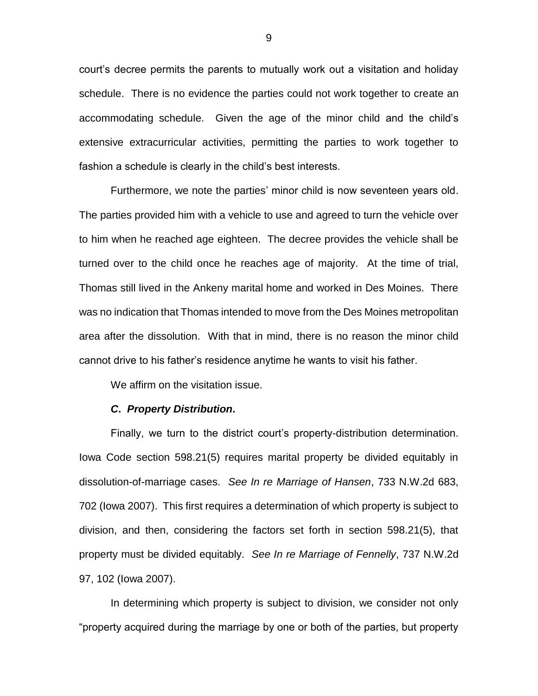court's decree permits the parents to mutually work out a visitation and holiday schedule. There is no evidence the parties could not work together to create an accommodating schedule. Given the age of the minor child and the child's extensive extracurricular activities, permitting the parties to work together to fashion a schedule is clearly in the child's best interests.

Furthermore, we note the parties' minor child is now seventeen years old. The parties provided him with a vehicle to use and agreed to turn the vehicle over to him when he reached age eighteen. The decree provides the vehicle shall be turned over to the child once he reaches age of majority. At the time of trial, Thomas still lived in the Ankeny marital home and worked in Des Moines. There was no indication that Thomas intended to move from the Des Moines metropolitan area after the dissolution. With that in mind, there is no reason the minor child cannot drive to his father's residence anytime he wants to visit his father.

We affirm on the visitation issue.

#### *C***.** *Property Distribution***.**

Finally, we turn to the district court's property-distribution determination. Iowa Code section 598.21(5) requires marital property be divided equitably in dissolution-of-marriage cases. *See In re Marriage of Hansen*, 733 N.W.2d 683, 702 (Iowa 2007). This first requires a determination of which property is subject to division, and then, considering the factors set forth in section 598.21(5), that property must be divided equitably. *See In re Marriage of Fennelly*, 737 N.W.2d 97, 102 (Iowa 2007).

In determining which property is subject to division, we consider not only "property acquired during the marriage by one or both of the parties, but property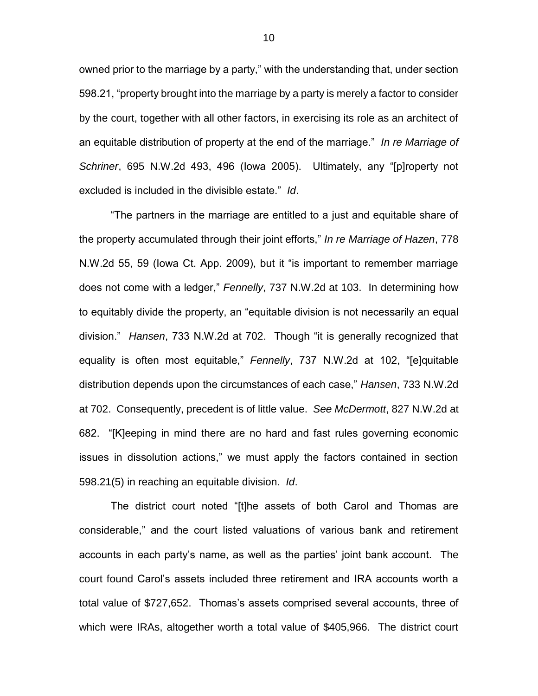owned prior to the marriage by a party," with the understanding that, under section 598.21, "property brought into the marriage by a party is merely a factor to consider by the court, together with all other factors, in exercising its role as an architect of an equitable distribution of property at the end of the marriage." *In re Marriage of Schriner*, 695 N.W.2d 493, 496 (Iowa 2005). Ultimately, any "[p]roperty not excluded is included in the divisible estate." *Id*.

"The partners in the marriage are entitled to a just and equitable share of the property accumulated through their joint efforts," *In re Marriage of Hazen*, 778 N.W.2d 55, 59 (Iowa Ct. App. 2009), but it "is important to remember marriage does not come with a ledger," *Fennelly*, 737 N.W.2d at 103. In determining how to equitably divide the property, an "equitable division is not necessarily an equal division." *Hansen*, 733 N.W.2d at 702. Though "it is generally recognized that equality is often most equitable," *Fennelly*, 737 N.W.2d at 102, "[e]quitable distribution depends upon the circumstances of each case," *Hansen*, 733 N.W.2d at 702. Consequently, precedent is of little value. *See McDermott*, 827 N.W.2d at 682. "[K]eeping in mind there are no hard and fast rules governing economic issues in dissolution actions," we must apply the factors contained in section 598.21(5) in reaching an equitable division. *Id*.

The district court noted "[t]he assets of both Carol and Thomas are considerable," and the court listed valuations of various bank and retirement accounts in each party's name, as well as the parties' joint bank account. The court found Carol's assets included three retirement and IRA accounts worth a total value of \$727,652. Thomas's assets comprised several accounts, three of which were IRAs, altogether worth a total value of \$405,966. The district court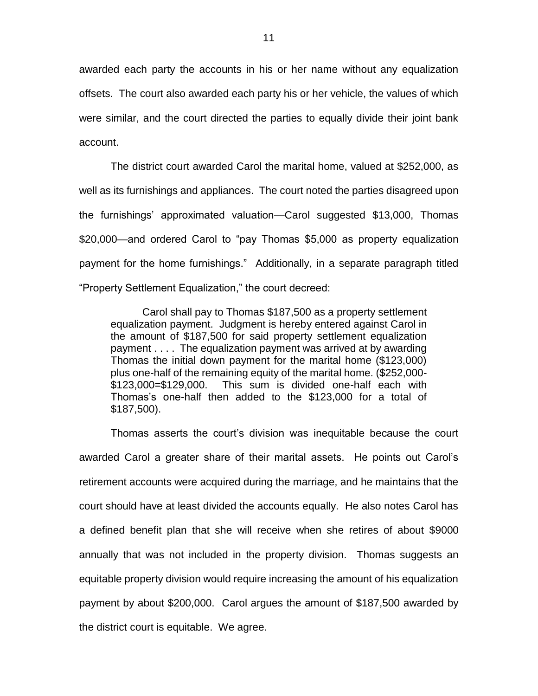awarded each party the accounts in his or her name without any equalization offsets. The court also awarded each party his or her vehicle, the values of which were similar, and the court directed the parties to equally divide their joint bank account.

The district court awarded Carol the marital home, valued at \$252,000, as well as its furnishings and appliances. The court noted the parties disagreed upon the furnishings' approximated valuation—Carol suggested \$13,000, Thomas \$20,000—and ordered Carol to "pay Thomas \$5,000 as property equalization payment for the home furnishings." Additionally, in a separate paragraph titled "Property Settlement Equalization," the court decreed:

Carol shall pay to Thomas \$187,500 as a property settlement equalization payment. Judgment is hereby entered against Carol in the amount of \$187,500 for said property settlement equalization payment . . . . The equalization payment was arrived at by awarding Thomas the initial down payment for the marital home (\$123,000) plus one-half of the remaining equity of the marital home. (\$252,000- \$123,000=\$129,000. This sum is divided one-half each with Thomas's one-half then added to the \$123,000 for a total of \$187,500).

Thomas asserts the court's division was inequitable because the court awarded Carol a greater share of their marital assets. He points out Carol's retirement accounts were acquired during the marriage, and he maintains that the court should have at least divided the accounts equally. He also notes Carol has a defined benefit plan that she will receive when she retires of about \$9000 annually that was not included in the property division. Thomas suggests an equitable property division would require increasing the amount of his equalization payment by about \$200,000. Carol argues the amount of \$187,500 awarded by the district court is equitable. We agree.